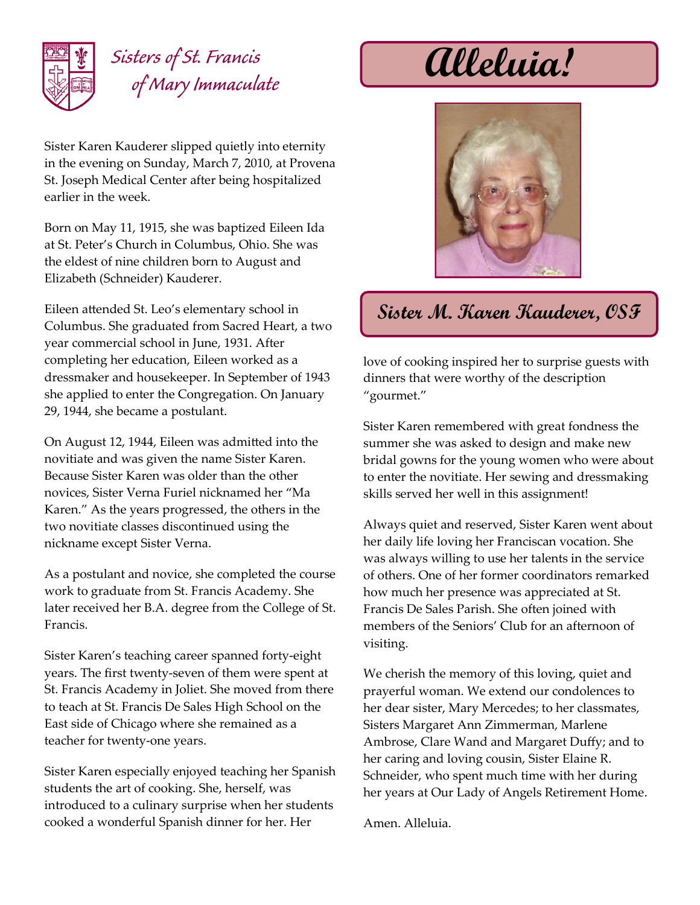

## *Sisters of St. Francis of Mary Immaculate*

Sister Karen Kauderer slipped quietly into eternity in the evening on Sunday, March 7, 2010, at Provena St. Joseph Medical Center after being hospitalized earlier in the week.

Born on May 11, 1915, she was baptized Eileen Ida at St. Peter's Church in Columbus, Ohio. She was the eldest of nine children born to August and Elizabeth (Schneider) Kauderer.

Eileen attended St. Leo's elementary school in Columbus. She graduated from Sacred Heart, a two year commercial school in June, 1931. After completing her education, Eileen worked as a dressmaker and housekeeper. In September of 1943 she applied to enter the Congregation. On January 29, 1944, she became a postulant.

On August 12, 1944, Eileen was admitted into the novitiate and was given the name Sister Karen. Because Sister Karen was older than the other novices, Sister Verna Furiel nicknamed her "Ma Karen." As the years progressed, the others in the two novitiate classes discontinued using the nickname except Sister Verna.

As a postulant and novice, she completed the course work to graduate from St. Francis Academy. She later received her B.A. degree from the College of St. Francis.

Sister Karen's teaching career spanned forty-eight years. The first twenty-seven of them were spent at St. Francis Academy in Joliet. She moved from there to teach at St. Francis De Sales High School on the East side of Chicago where she remained as a teacher for twenty-one years.

Sister Karen especially enjoyed teaching her Spanish students the art of cooking. She, herself, was introduced to a culinary surprise when her students cooked a wonderful Spanish dinner for her. Her

**Alleluia!**



## **Sister M. Karen Kauderer, OSF**

love of cooking inspired her to surprise guests with dinners that were worthy of the description "gourmet."

Sister Karen remembered with great fondness the summer she was asked to design and make new bridal gowns for the young women who were about to enter the novitiate. Her sewing and dressmaking skills served her well in this assignment!

Always quiet and reserved, Sister Karen went about her daily life loving her Franciscan vocation. She was always willing to use her talents in the service of others. One of her former coordinators remarked how much her presence was appreciated at St. Francis De Sales Parish. She often joined with members of the Seniors' Club for an afternoon of visiting.

We cherish the memory of this loving, quiet and prayerful woman. We extend our condolences to her dear sister, Mary Mercedes; to her classmates, Sisters Margaret Ann Zimmerman, Marlene Ambrose, Clare Wand and Margaret Duffy; and to her caring and loving cousin, Sister Elaine R. Schneider, who spent much time with her during her years at Our Lady of Angels Retirement Home.

Amen. Alleluia.